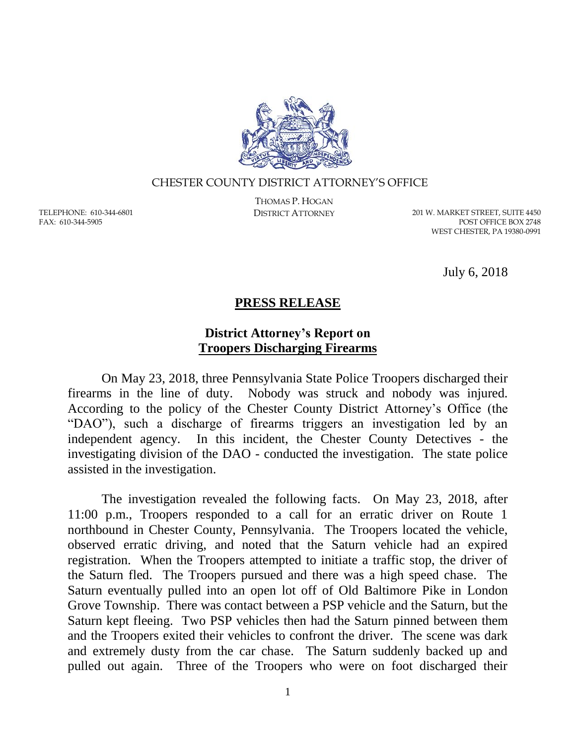

## CHESTER COUNTY DISTRICT ATTORNEY'S OFFICE

TELEPHONE: 610-344-6801 FAX: 610-344-5905

THOMAS P. HOGAN

DISTRICT ATTORNEY 201 W. MARKET STREET, SUITE 4450 POST OFFICE BOX 2748 WEST CHESTER, PA 19380-0991

July 6, 2018

## **PRESS RELEASE**

## **District Attorney's Report on Troopers Discharging Firearms**

On May 23, 2018, three Pennsylvania State Police Troopers discharged their firearms in the line of duty. Nobody was struck and nobody was injured. According to the policy of the Chester County District Attorney's Office (the "DAO"), such a discharge of firearms triggers an investigation led by an independent agency. In this incident, the Chester County Detectives - the investigating division of the DAO - conducted the investigation. The state police assisted in the investigation.

The investigation revealed the following facts. On May 23, 2018, after 11:00 p.m., Troopers responded to a call for an erratic driver on Route 1 northbound in Chester County, Pennsylvania. The Troopers located the vehicle, observed erratic driving, and noted that the Saturn vehicle had an expired registration. When the Troopers attempted to initiate a traffic stop, the driver of the Saturn fled. The Troopers pursued and there was a high speed chase. The Saturn eventually pulled into an open lot off of Old Baltimore Pike in London Grove Township. There was contact between a PSP vehicle and the Saturn, but the Saturn kept fleeing. Two PSP vehicles then had the Saturn pinned between them and the Troopers exited their vehicles to confront the driver. The scene was dark and extremely dusty from the car chase. The Saturn suddenly backed up and pulled out again. Three of the Troopers who were on foot discharged their